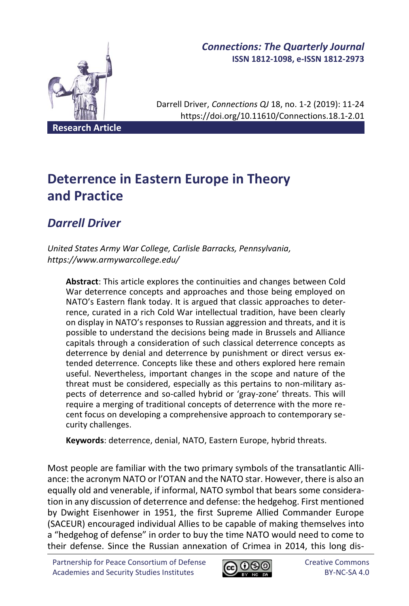

# *Connections: The Quarterly Journal* **ISSN 1812-1098, e-ISSN 1812-2973**

Darrell Driver, *Connections QJ* 18, no. 1-2 (2019): 11-24 https://doi.org/10.11610/Connections.18.1-2.01

# **Deterrence in Eastern Europe in Theory and Practice**

# *Darrell Driver*

*United States Army War College, Carlisle Barracks, Pennsylvania, https://www.armywarcollege.edu/*

**Abstract**: This article explores the continuities and changes between Cold War deterrence concepts and approaches and those being employed on NATO's Eastern flank today. It is argued that classic approaches to deterrence, curated in a rich Cold War intellectual tradition, have been clearly on display in NATO's responses to Russian aggression and threats, and it is possible to understand the decisions being made in Brussels and Alliance capitals through a consideration of such classical deterrence concepts as deterrence by denial and deterrence by punishment or direct versus extended deterrence. Concepts like these and others explored here remain useful. Nevertheless, important changes in the scope and nature of the threat must be considered, especially as this pertains to non-military aspects of deterrence and so-called hybrid or 'gray-zone' threats. This will require a merging of traditional concepts of deterrence with the more recent focus on developing a comprehensive approach to contemporary security challenges.

**Keywords**: deterrence, denial, NATO, Eastern Europe, hybrid threats.

Most people are familiar with the two primary symbols of the transatlantic Alliance: the acronym NATO or l'OTAN and the NATO star. However, there is also an equally old and venerable, if informal, NATO symbol that bears some consideration in any discussion of deterrence and defense: the hedgehog. First mentioned by Dwight Eisenhower in 1951, the first Supreme Allied Commander Europe (SACEUR) encouraged individual Allies to be capable of making themselves into a "hedgehog of defense" in order to buy the time NATO would need to come to their defense. Since the Russian annexation of Crimea in 2014, this long dis-

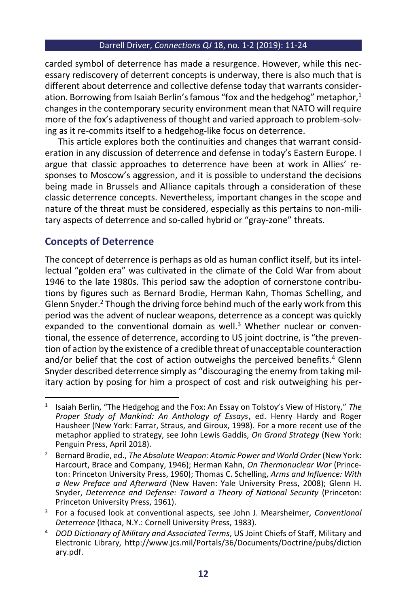carded symbol of deterrence has made a resurgence. However, while this necessary rediscovery of deterrent concepts is underway, there is also much that is different about deterrence and collective defense today that warrants consideration. Borrowing from Isaiah Berlin's famous "fox and the hedgehog" metaphor, $1$ changes in the contemporary security environment mean that NATO will require more of the fox's adaptiveness of thought and varied approach to problem-solving as it re-commits itself to a hedgehog-like focus on deterrence.

This article explores both the continuities and changes that warrant consideration in any discussion of deterrence and defense in today's Eastern Europe. I argue that classic approaches to deterrence have been at work in Allies' responses to Moscow's aggression, and it is possible to understand the decisions being made in Brussels and Alliance capitals through a consideration of these classic deterrence concepts. Nevertheless, important changes in the scope and nature of the threat must be considered, especially as this pertains to non-military aspects of deterrence and so-called hybrid or "gray-zone" threats.

# **Concepts of Deterrence**

The concept of deterrence is perhaps as old as human conflict itself, but its intellectual "golden era" was cultivated in the climate of the Cold War from about 1946 to the late 1980s. This period saw the adoption of cornerstone contributions by figures such as Bernard Brodie, Herman Kahn, Thomas Schelling, and Glenn Snyder.<sup>2</sup> Though the driving force behind much of the early work from this period was the advent of nuclear weapons, deterrence as a concept was quickly expanded to the conventional domain as well.<sup>3</sup> Whether nuclear or conventional, the essence of deterrence, according to US joint doctrine, is "the prevention of action by the existence of a credible threat of unacceptable counteraction and/or belief that the cost of action outweighs the perceived benefits.<sup>4</sup> Glenn Snyder described deterrence simply as "discouraging the enemy from taking military action by posing for him a prospect of cost and risk outweighing his per-

<sup>1</sup> Isaiah Berlin, "The Hedgehog and the Fox: An Essay on Tolstoy's View of History," *The Proper Study of Mankind: An Anthology of Essays*, ed. Henry Hardy and Roger Hausheer (New York: Farrar, Straus, and Giroux, 1998). For a more recent use of the metaphor applied to strategy, see John Lewis Gaddis, *On Grand Strategy* (New York: Penguin Press, April 2018).

<sup>2</sup> Bernard Brodie, ed., *The Absolute Weapon: Atomic Power and World Order* (New York: Harcourt, Brace and Company, 1946); Herman Kahn, *On Thermonuclear War* (Princeton: Princeton University Press, 1960); Thomas C. Schelling, *Arms and Influence: With a New Preface and Afterward* (New Haven: Yale University Press, 2008); Glenn H. Snyder, *Deterrence and Defense: Toward a Theory of National Security* (Princeton: Princeton University Press, 1961).

<sup>3</sup> For a focused look at conventional aspects, see John J. Mearsheimer, *Conventional Deterrence* (Ithaca, N.Y.: Cornell University Press, 1983).

<sup>4</sup> *DOD Dictionary of Military and Associated Terms*, US Joint Chiefs of Staff, Military and Electronic Library, http://www.jcs.mil/Portals/36/Documents/Doctrine/pubs/diction ary.pdf.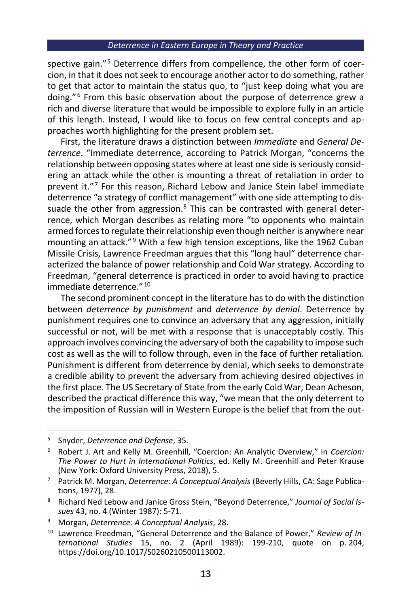spective gain."<sup>5</sup> Deterrence differs from compellence, the other form of coercion, in that it does not seek to encourage another actor to do something, rather to get that actor to maintain the status quo, to "just keep doing what you are doing." <sup>6</sup> From this basic observation about the purpose of deterrence grew a rich and diverse literature that would be impossible to explore fully in an article of this length. Instead, I would like to focus on few central concepts and approaches worth highlighting for the present problem set.

First, the literature draws a distinction between *Immediate* and *General Deterrence*. "Immediate deterrence, according to Patrick Morgan, "concerns the relationship between opposing states where at least one side is seriously considering an attack while the other is mounting a threat of retaliation in order to prevent it."<sup>7</sup> For this reason, Richard Lebow and Janice Stein label immediate deterrence "a strategy of conflict management" with one side attempting to dissuade the other from aggression.<sup>8</sup> This can be contrasted with general deterrence, which Morgan describes as relating more "to opponents who maintain armed forces to regulate their relationship even though neither is anywhere near mounting an attack."<sup>9</sup> With a few high tension exceptions, like the 1962 Cuban Missile Crisis, Lawrence Freedman argues that this "long haul" deterrence characterized the balance of power relationship and Cold War strategy. According to Freedman, "general deterrence is practiced in order to avoid having to practice immediate deterrence."<sup>10</sup>

The second prominent concept in the literature has to do with the distinction between *deterrence by punishment* and *deterrence by denial*. Deterrence by punishment requires one to convince an adversary that any aggression, initially successful or not, will be met with a response that is unacceptably costly. This approach involves convincing the adversary of both the capability to impose such cost as well as the will to follow through, even in the face of further retaliation. Punishment is different from deterrence by denial, which seeks to demonstrate a credible ability to prevent the adversary from achieving desired objectives in the first place. The US Secretary of State from the early Cold War, Dean Acheson, described the practical difference this way, "we mean that the only deterrent to the imposition of Russian will in Western Europe is the belief that from the out-

<sup>5</sup> Snyder, *Deterrence and Defense*, 35*.*

<sup>6</sup> Robert J. Art and Kelly M. Greenhill, "Coercion: An Analytic Overview," in *Coercion: The Power to Hurt in International Politics*, ed. Kelly M. Greenhill and Peter Krause (New York: Oxford University Press, 2018), 5.

<sup>7</sup> Patrick M. Morgan, *Deterrence: A Conceptual Analysis* (Beverly Hills, CA: Sage Publications, 1977), 28.

<sup>8</sup> Richard Ned Lebow and Janice Gross Stein, "Beyond Deterrence," *Journal of Social Issues* 43, no. 4 (Winter 1987): 5-71.

<sup>9</sup> Morgan, *Deterrence: A Conceptual Analysis*, 28.

<sup>10</sup> Lawrence Freedman, "General Deterrence and the Balance of Power," *Review of International Studies* 15, no. 2 (April 1989): 199-210, quote on p. 204, https://doi.org/10.1017/S0260210500113002.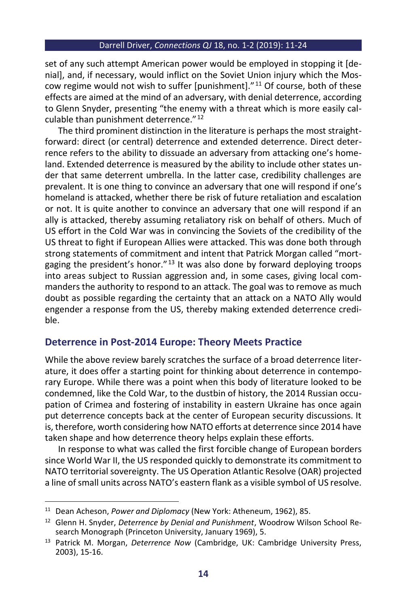set of any such attempt American power would be employed in stopping it [denial], and, if necessary, would inflict on the Soviet Union injury which the Moscow regime would not wish to suffer [punishment]." <sup>11</sup> Of course, both of these effects are aimed at the mind of an adversary, with denial deterrence, according to Glenn Snyder, presenting "the enemy with a threat which is more easily calculable than punishment deterrence." <sup>12</sup>

The third prominent distinction in the literature is perhaps the most straightforward: direct (or central) deterrence and extended deterrence. Direct deterrence refers to the ability to dissuade an adversary from attacking one's homeland. Extended deterrence is measured by the ability to include other states under that same deterrent umbrella. In the latter case, credibility challenges are prevalent. It is one thing to convince an adversary that one will respond if one's homeland is attacked, whether there be risk of future retaliation and escalation or not. It is quite another to convince an adversary that one will respond if an ally is attacked, thereby assuming retaliatory risk on behalf of others. Much of US effort in the Cold War was in convincing the Soviets of the credibility of the US threat to fight if European Allies were attacked. This was done both through strong statements of commitment and intent that Patrick Morgan called "mortgaging the president's honor." $13$  It was also done by forward deploying troops into areas subject to Russian aggression and, in some cases, giving local commanders the authority to respond to an attack. The goal was to remove as much doubt as possible regarding the certainty that an attack on a NATO Ally would engender a response from the US, thereby making extended deterrence credible.

# **Deterrence in Post-2014 Europe: Theory Meets Practice**

While the above review barely scratches the surface of a broad deterrence literature, it does offer a starting point for thinking about deterrence in contemporary Europe. While there was a point when this body of literature looked to be condemned, like the Cold War, to the dustbin of history, the 2014 Russian occupation of Crimea and fostering of instability in eastern Ukraine has once again put deterrence concepts back at the center of European security discussions. It is, therefore, worth considering how NATO efforts at deterrence since 2014 have taken shape and how deterrence theory helps explain these efforts.

In response to what was called the first forcible change of European borders since World War II, the US responded quickly to demonstrate its commitment to NATO territorial sovereignty. The US Operation Atlantic Resolve (OAR) projected a line of small units across NATO's eastern flank as a visible symbol of US resolve.

<sup>11</sup> Dean Acheson, *Power and Diplomacy* (New York: Atheneum, 1962), 85.

<sup>12</sup> Glenn H. Snyder, *Deterrence by Denial and Punishment*, Woodrow Wilson School Research Monograph (Princeton University, January 1969), 5.

<sup>13</sup> Patrick M. Morgan, *Deterrence Now* (Cambridge, UK: Cambridge University Press, 2003), 15-16.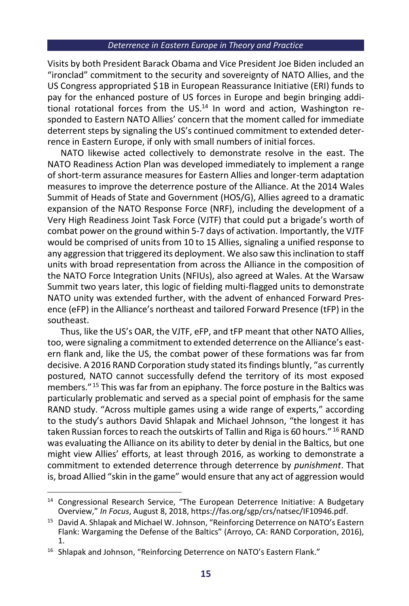Visits by both President Barack Obama and Vice President Joe Biden included an "ironclad" commitment to the security and sovereignty of NATO Allies, and the US Congress appropriated \$1B in European Reassurance Initiative (ERI) funds to pay for the enhanced posture of US forces in Europe and begin bringing additional rotational forces from the  $US^{14}$  In word and action. Washington responded to Eastern NATO Allies' concern that the moment called for immediate deterrent steps by signaling the US's continued commitment to extended deterrence in Eastern Europe, if only with small numbers of initial forces.

NATO likewise acted collectively to demonstrate resolve in the east. The NATO Readiness Action Plan was developed immediately to implement a range of short-term assurance measures for Eastern Allies and longer-term adaptation measures to improve the deterrence posture of the Alliance. At the 2014 Wales Summit of Heads of State and Government (HOS/G), Allies agreed to a dramatic expansion of the NATO Response Force (NRF), including the development of a Very High Readiness Joint Task Force (VJTF) that could put a brigade's worth of combat power on the ground within 5-7 days of activation. Importantly, the VJTF would be comprised of units from 10 to 15 Allies, signaling a unified response to any aggression that triggered its deployment. We also saw this inclination to staff units with broad representation from across the Alliance in the composition of the NATO Force Integration Units (NFIUs), also agreed at Wales. At the Warsaw Summit two years later, this logic of fielding multi-flagged units to demonstrate NATO unity was extended further, with the advent of enhanced Forward Presence (eFP) in the Alliance's northeast and tailored Forward Presence (tFP) in the southeast.

Thus, like the US's OAR, the VJTF, eFP, and tFP meant that other NATO Allies, too, were signaling a commitment to extended deterrence on the Alliance's eastern flank and, like the US, the combat power of these formations was far from decisive. A 2016 RAND Corporation study stated its findings bluntly, "as currently postured, NATO cannot successfully defend the territory of its most exposed members." <sup>15</sup> This was far from an epiphany. The force posture in the Baltics was particularly problematic and served as a special point of emphasis for the same RAND study. "Across multiple games using a wide range of experts," according to the study's authors David Shlapak and Michael Johnson, "the longest it has taken Russian forces to reach the outskirts of Tallin and Riga is 60 hours." <sup>16</sup> RAND was evaluating the Alliance on its ability to deter by denial in the Baltics, but one might view Allies' efforts, at least through 2016, as working to demonstrate a commitment to extended deterrence through deterrence by *punishment*. That is, broad Allied "skin in the game" would ensure that any act of aggression would

<sup>&</sup>lt;sup>14</sup> Congressional Research Service, "The European Deterrence Initiative: A Budgetary Overview," *In Focus*, August 8, 2018, https://fas.org/sgp/crs/natsec/IF10946.pdf.

<sup>15</sup> David A. Shlapak and Michael W. Johnson, "Reinforcing Deterrence on NATO's Eastern Flank: Wargaming the Defense of the Baltics" (Arroyo, CA: RAND Corporation, 2016), 1.

<sup>&</sup>lt;sup>16</sup> Shlapak and Johnson, "Reinforcing Deterrence on NATO's Eastern Flank."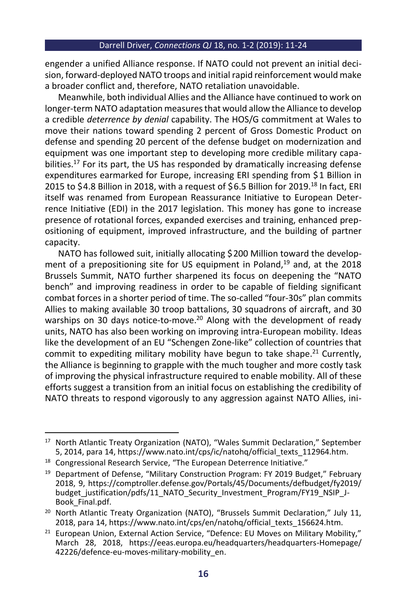engender a unified Alliance response. If NATO could not prevent an initial decision, forward-deployed NATO troops and initial rapid reinforcement would make a broader conflict and, therefore, NATO retaliation unavoidable.

Meanwhile, both individual Allies and the Alliance have continued to work on longer-term NATO adaptation measures that would allow the Alliance to develop a credible *deterrence by denial* capability. The HOS/G commitment at Wales to move their nations toward spending 2 percent of Gross Domestic Product on defense and spending 20 percent of the defense budget on modernization and equipment was one important step to developing more credible military capabilities.<sup>17</sup> For its part, the US has responded by dramatically increasing defense expenditures earmarked for Europe, increasing ERI spending from \$1 Billion in 2015 to \$4.8 Billion in 2018, with a request of \$6.5 Billion for 2019.<sup>18</sup> In fact, ERI itself was renamed from European Reassurance Initiative to European Deterrence Initiative (EDI) in the 2017 legislation. This money has gone to increase presence of rotational forces, expanded exercises and training, enhanced prepositioning of equipment, improved infrastructure, and the building of partner capacity.

NATO has followed suit, initially allocating \$200 Million toward the development of a prepositioning site for US equipment in Poland,<sup>19</sup> and, at the 2018 Brussels Summit, NATO further sharpened its focus on deepening the "NATO bench" and improving readiness in order to be capable of fielding significant combat forces in a shorter period of time. The so-called "four-30s" plan commits Allies to making available 30 troop battalions, 30 squadrons of aircraft, and 30 warships on 30 days notice-to-move.<sup>20</sup> Along with the development of ready units, NATO has also been working on improving intra-European mobility. Ideas like the development of an EU "Schengen Zone-like" collection of countries that commit to expediting military mobility have begun to take shape.<sup>21</sup> Currently, the Alliance is beginning to grapple with the much tougher and more costly task of improving the physical infrastructure required to enable mobility. All of these efforts suggest a transition from an initial focus on establishing the credibility of NATO threats to respond vigorously to any aggression against NATO Allies, ini-

<sup>&</sup>lt;sup>17</sup> North Atlantic Treaty Organization (NATO), "Wales Summit Declaration," September 5, 2014, para 14, https://www.nato.int/cps/ic/natohq/official\_texts\_112964.htm.

<sup>&</sup>lt;sup>18</sup> Congressional Research Service, "The European Deterrence Initiative."

<sup>&</sup>lt;sup>19</sup> Department of Defense, "Military Construction Program: FY 2019 Budget," February 2018, 9, https://comptroller.defense.gov/Portals/45/Documents/defbudget/fy2019/ budget\_justification/pdfs/11\_NATO\_Security\_Investment\_Program/FY19\_NSIP\_J-Book\_Final.pdf.

<sup>&</sup>lt;sup>20</sup> North Atlantic Treaty Organization (NATO), "Brussels Summit Declaration," July 11, 2018, para 14, https://www.nato.int/cps/en/natohq/official\_texts\_156624.htm.

<sup>&</sup>lt;sup>21</sup> European Union, External Action Service, "Defence: EU Moves on Military Mobility," March 28, 2018, https://eeas.europa.eu/headquarters/headquarters-Homepage/ 42226/defence-eu-moves-military-mobility\_en.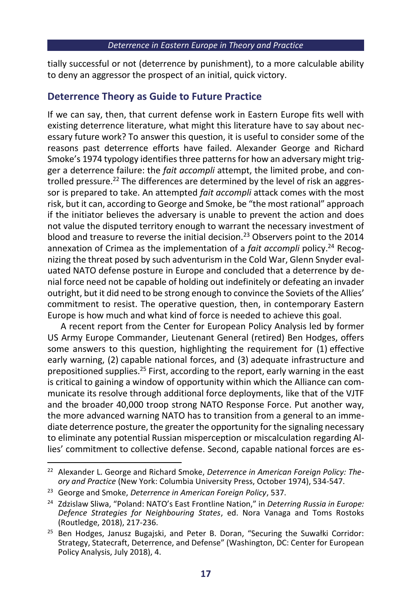tially successful or not (deterrence by punishment), to a more calculable ability to deny an aggressor the prospect of an initial, quick victory.

# **Deterrence Theory as Guide to Future Practice**

If we can say, then, that current defense work in Eastern Europe fits well with existing deterrence literature, what might this literature have to say about necessary future work? To answer this question, it is useful to consider some of the reasons past deterrence efforts have failed. Alexander George and Richard Smoke's 1974 typology identifies three patterns for how an adversary might trigger a deterrence failure: the *fait accompli* attempt, the limited probe, and controlled pressure.<sup>22</sup> The differences are determined by the level of risk an aggressor is prepared to take. An attempted *fait accompli* attack comes with the most risk, but it can, according to George and Smoke, be "the most rational" approach if the initiator believes the adversary is unable to prevent the action and does not value the disputed territory enough to warrant the necessary investment of blood and treasure to reverse the initial decision.<sup>23</sup> Observers point to the 2014 annexation of Crimea as the implementation of a *fait accompli* policy.<sup>24</sup> Recognizing the threat posed by such adventurism in the Cold War, Glenn Snyder evaluated NATO defense posture in Europe and concluded that a deterrence by denial force need not be capable of holding out indefinitely or defeating an invader outright, but it did need to be strong enough to convince the Soviets of the Allies' commitment to resist. The operative question, then, in contemporary Eastern Europe is how much and what kind of force is needed to achieve this goal.

A recent report from the Center for European Policy Analysis led by former US Army Europe Commander, Lieutenant General (retired) Ben Hodges, offers some answers to this question, highlighting the requirement for (1) effective early warning, (2) capable national forces, and (3) adequate infrastructure and prepositioned supplies.<sup>25</sup> First, according to the report, early warning in the east is critical to gaining a window of opportunity within which the Alliance can communicate its resolve through additional force deployments, like that of the VJTF and the broader 40,000 troop strong NATO Response Force. Put another way, the more advanced warning NATO has to transition from a general to an immediate deterrence posture, the greater the opportunity for the signaling necessary to eliminate any potential Russian misperception or miscalculation regarding Allies' commitment to collective defense. Second, capable national forces are es-

<sup>22</sup> Alexander L. George and Richard Smoke, *Deterrence in American Foreign Policy: Theory and Practice* (New York: Columbia University Press, October 1974), 534-547.

<sup>23</sup> George and Smoke, *Deterrence in American Foreign Policy*, 537.

<sup>24</sup> Zdzislaw Sliwa, "Poland: NATO's East Frontline Nation," in *Deterring Russia in Europe: Defence Strategies for Neighbouring States*, ed. Nora Vanaga and Toms Rostoks (Routledge, 2018), 217-236.

<sup>&</sup>lt;sup>25</sup> Ben Hodges, Janusz Bugajski, and Peter B. Doran, "Securing the Suwałki Corridor: Strategy, Statecraft, Deterrence, and Defense" (Washington, DC: Center for European Policy Analysis, July 2018), 4.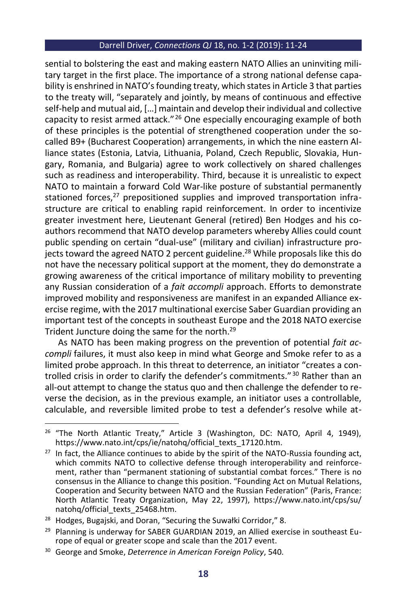sential to bolstering the east and making eastern NATO Allies an uninviting military target in the first place. The importance of a strong national defense capability is enshrined in NATO's founding treaty, which states in Article 3 that parties to the treaty will, "separately and jointly, by means of continuous and effective self-help and mutual aid, […] maintain and develop their individual and collective capacity to resist armed attack." <sup>26</sup> One especially encouraging example of both of these principles is the potential of strengthened cooperation under the socalled B9+ (Bucharest Cooperation) arrangements, in which the nine eastern Alliance states (Estonia, Latvia, Lithuania, Poland, Czech Republic, Slovakia, Hungary, Romania, and Bulgaria) agree to work collectively on shared challenges such as readiness and interoperability. Third, because it is unrealistic to expect NATO to maintain a forward Cold War-like posture of substantial permanently stationed forces, $27$  prepositioned supplies and improved transportation infrastructure are critical to enabling rapid reinforcement. In order to incentivize greater investment here, Lieutenant General (retired) Ben Hodges and his coauthors recommend that NATO develop parameters whereby Allies could count public spending on certain "dual-use" (military and civilian) infrastructure projects toward the agreed NATO 2 percent guideline.<sup>28</sup> While proposals like this do not have the necessary political support at the moment, they do demonstrate a growing awareness of the critical importance of military mobility to preventing any Russian consideration of a *fait accompli* approach. Efforts to demonstrate improved mobility and responsiveness are manifest in an expanded Alliance exercise regime, with the 2017 multinational exercise Saber Guardian providing an important test of the concepts in southeast Europe and the 2018 NATO exercise Trident Juncture doing the same for the north.<sup>29</sup>

As NATO has been making progress on the prevention of potential *fait accompli* failures, it must also keep in mind what George and Smoke refer to as a limited probe approach. In this threat to deterrence, an initiator "creates a controlled crisis in order to clarify the defender's commitments."<sup>30</sup> Rather than an all-out attempt to change the status quo and then challenge the defender to reverse the decision, as in the previous example, an initiator uses a controllable, calculable, and reversible limited probe to test a defender's resolve while at-

<sup>&</sup>lt;sup>26</sup> "The North Atlantic Treaty," Article 3 (Washington, DC: NATO, April 4, 1949), https://www.nato.int/cps/ie/natohg/official\_texts\_17120.htm.

 $27$  In fact, the Alliance continues to abide by the spirit of the NATO-Russia founding act, which commits NATO to collective defense through interoperability and reinforcement, rather than "permanent stationing of substantial combat forces." There is no consensus in the Alliance to change this position. "Founding Act on Mutual Relations, Cooperation and Security between NATO and the Russian Federation" (Paris, France: North Atlantic Treaty Organization, May 22, 1997), https://www.nato.int/cps/su/ natohq/official\_texts\_25468.htm.

<sup>&</sup>lt;sup>28</sup> Hodges, Bugajski, and Doran, "Securing the Suwałki Corridor," 8.

 $29$  Planning is underway for SABER GUARDIAN 2019, an Allied exercise in southeast Europe of equal or greater scope and scale than the 2017 event.

<sup>30</sup> George and Smoke, *Deterrence in American Foreign Policy*, 540.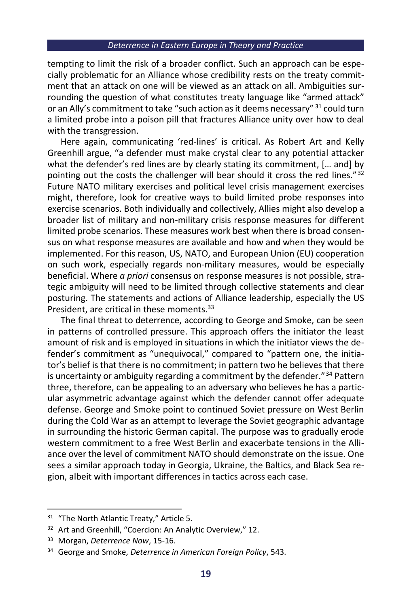tempting to limit the risk of a broader conflict. Such an approach can be especially problematic for an Alliance whose credibility rests on the treaty commitment that an attack on one will be viewed as an attack on all. Ambiguities surrounding the question of what constitutes treaty language like "armed attack" or an Ally's commitment to take "such action as it deems necessary" <sup>31</sup> could turn a limited probe into a poison pill that fractures Alliance unity over how to deal with the transgression.

Here again, communicating 'red-lines' is critical. As Robert Art and Kelly Greenhill argue, "a defender must make crystal clear to any potential attacker what the defender's red lines are by clearly stating its commitment, [… and] by pointing out the costs the challenger will bear should it cross the red lines."<sup>32</sup> Future NATO military exercises and political level crisis management exercises might, therefore, look for creative ways to build limited probe responses into exercise scenarios. Both individually and collectively, Allies might also develop a broader list of military and non-military crisis response measures for different limited probe scenarios. These measures work best when there is broad consensus on what response measures are available and how and when they would be implemented. For this reason, US, NATO, and European Union (EU) cooperation on such work, especially regards non-military measures, would be especially beneficial. Where *a priori* consensus on response measures is not possible, strategic ambiguity will need to be limited through collective statements and clear posturing. The statements and actions of Alliance leadership, especially the US President, are critical in these moments.<sup>33</sup>

The final threat to deterrence, according to George and Smoke, can be seen in patterns of controlled pressure. This approach offers the initiator the least amount of risk and is employed in situations in which the initiator views the defender's commitment as "unequivocal," compared to "pattern one, the initiator's belief is that there is no commitment; in pattern two he believes that there is uncertainty or ambiguity regarding a commitment by the defender."  $34$  Pattern three, therefore, can be appealing to an adversary who believes he has a particular asymmetric advantage against which the defender cannot offer adequate defense. George and Smoke point to continued Soviet pressure on West Berlin during the Cold War as an attempt to leverage the Soviet geographic advantage in surrounding the historic German capital. The purpose was to gradually erode western commitment to a free West Berlin and exacerbate tensions in the Alliance over the level of commitment NATO should demonstrate on the issue. One sees a similar approach today in Georgia, Ukraine, the Baltics, and Black Sea region, albeit with important differences in tactics across each case.

<sup>&</sup>lt;sup>31</sup> "The North Atlantic Treaty," Article 5.

<sup>&</sup>lt;sup>32</sup> Art and Greenhill, "Coercion: An Analytic Overview," 12.

<sup>33</sup> Morgan, *Deterrence Now*, 15-16.

<sup>34</sup> George and Smoke, *Deterrence in American Foreign Policy*, 543.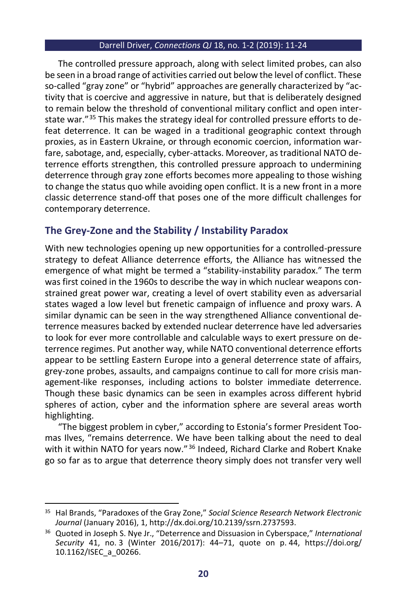The controlled pressure approach, along with select limited probes, can also be seen in a broad range of activities carried out below the level of conflict. These so-called "gray zone" or "hybrid" approaches are generally characterized by "activity that is coercive and aggressive in nature, but that is deliberately designed to remain below the threshold of conventional military conflict and open interstate war."<sup>35</sup> This makes the strategy ideal for controlled pressure efforts to defeat deterrence. It can be waged in a traditional geographic context through proxies, as in Eastern Ukraine, or through economic coercion, information warfare, sabotage, and, especially, cyber-attacks. Moreover, as traditional NATO deterrence efforts strengthen, this controlled pressure approach to undermining deterrence through gray zone efforts becomes more appealing to those wishing to change the status quo while avoiding open conflict. It is a new front in a more classic deterrence stand-off that poses one of the more difficult challenges for contemporary deterrence.

# **The Grey-Zone and the Stability / Instability Paradox**

With new technologies opening up new opportunities for a controlled-pressure strategy to defeat Alliance deterrence efforts, the Alliance has witnessed the emergence of what might be termed a "stability-instability paradox." The term was first coined in the 1960s to describe the way in which nuclear weapons constrained great power war, creating a level of overt stability even as adversarial states waged a low level but frenetic campaign of influence and proxy wars. A similar dynamic can be seen in the way strengthened Alliance conventional deterrence measures backed by extended nuclear deterrence have led adversaries to look for ever more controllable and calculable ways to exert pressure on deterrence regimes. Put another way, while NATO conventional deterrence efforts appear to be settling Eastern Europe into a general deterrence state of affairs, grey-zone probes, assaults, and campaigns continue to call for more crisis management-like responses, including actions to bolster immediate deterrence. Though these basic dynamics can be seen in examples across different hybrid spheres of action, cyber and the information sphere are several areas worth highlighting.

"The biggest problem in cyber," according to Estonia's former President Toomas Ilves, "remains deterrence. We have been talking about the need to deal with it within NATO for years now."<sup>36</sup> Indeed, Richard Clarke and Robert Knake go so far as to argue that deterrence theory simply does not transfer very well

<sup>35</sup> Hal Brands, "Paradoxes of the Gray Zone," *Social Science Research Network Electronic Journal* (January 2016), 1, http://dx.doi.org/10.2139/ssrn.2737593.

<sup>36</sup> Quoted in Joseph S. Nye Jr., "Deterrence and Dissuasion in Cyberspace," *International Security* 41, no. 3 (Winter 2016/2017): 44–71, quote on p. 44, https://doi.org/ 10.1162/ISEC\_a\_00266.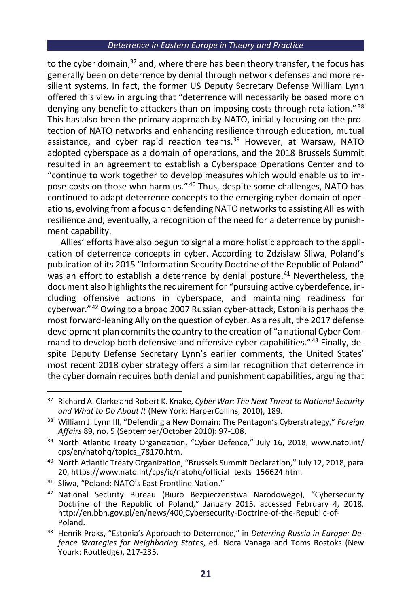to the cyber domain, $37$  and, where there has been theory transfer, the focus has generally been on deterrence by denial through network defenses and more resilient systems. In fact, the former US Deputy Secretary Defense William Lynn offered this view in arguing that "deterrence will necessarily be based more on denying any benefit to attackers than on imposing costs through retaliation." <sup>38</sup> This has also been the primary approach by NATO, initially focusing on the protection of NATO networks and enhancing resilience through education, mutual assistance, and cyber rapid reaction teams.<sup>39</sup> However, at Warsaw, NATO adopted cyberspace as a domain of operations, and the 2018 Brussels Summit resulted in an agreement to establish a Cyberspace Operations Center and to "continue to work together to develop measures which would enable us to impose costs on those who harm us." 40 Thus, despite some challenges, NATO has continued to adapt deterrence concepts to the emerging cyber domain of operations, evolving from a focus on defending NATO networks to assisting Allies with resilience and, eventually, a recognition of the need for a deterrence by punishment capability.

Allies' efforts have also begun to signal a more holistic approach to the application of deterrence concepts in cyber. According to Zdzislaw Sliwa, Poland's publication of its 2015 "Information Security Doctrine of the Republic of Poland" was an effort to establish a deterrence by denial posture.<sup>41</sup> Nevertheless, the document also highlights the requirement for "pursuing active cyberdefence, including offensive actions in cyberspace, and maintaining readiness for cyberwar."<sup>42</sup> Owing to a broad 2007 Russian cyber-attack, Estonia is perhaps the most forward-leaning Ally on the question of cyber. As a result, the 2017 defense development plan commits the country to the creation of "a national Cyber Command to develop both defensive and offensive cyber capabilities."<sup>43</sup> Finally, despite Deputy Defense Secretary Lynn's earlier comments, the United States' most recent 2018 cyber strategy offers a similar recognition that deterrence in the cyber domain requires both denial and punishment capabilities, arguing that

- <sup>40</sup> North Atlantic Treaty Organization, "Brussels Summit Declaration," July 12, 2018, para 20, https://www.nato.int/cps/ic/natohq/official\_texts\_156624.htm.
- <sup>41</sup> Sliwa, "Poland: NATO's East Frontline Nation."
- <sup>42</sup> National Security Bureau (Biuro Bezpieczenstwa Narodowego), "Cybersecurity Doctrine of the Republic of Poland," January 2015, accessed February 4, 2018, http://en.bbn.gov.pl/en/news/400,Cybersecurity-Doctrine-of-the-Republic-of-Poland.
- <sup>43</sup> Henrik Praks, "Estonia's Approach to Deterrence," in *Deterring Russia in Europe: Defence Strategies for Neighboring States*, ed. Nora Vanaga and Toms Rostoks (New Yourk: Routledge), 217-235.

<sup>37</sup> Richard A. Clarke and Robert K. Knake, *Cyber War: The Next Threat to National Security and What to Do About It* (New York: HarperCollins, 2010), 189.

<sup>38</sup> William J. Lynn III, "Defending a New Domain: The Pentagon's Cyberstrategy," *Foreign Affairs* 89, no. 5 (September/October 2010): 97-108.

<sup>&</sup>lt;sup>39</sup> North Atlantic Treaty Organization, "Cyber Defence," July 16, 2018, www.nato.int/ cps/en/natohq/topics\_78170.htm.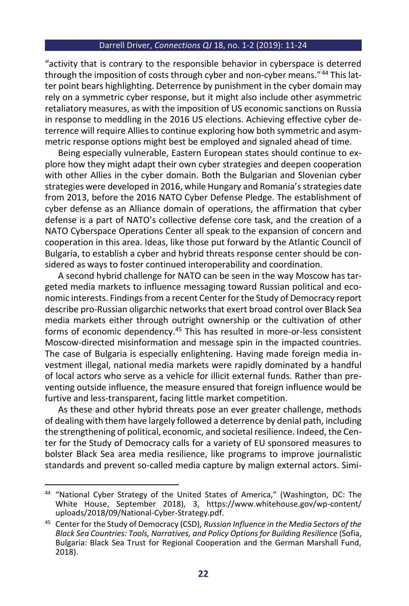"activity that is contrary to the responsible behavior in cyberspace is deterred through the imposition of costs through cyber and non-cyber means."<sup>44</sup> This latter point bears highlighting. Deterrence by punishment in the cyber domain may rely on a symmetric cyber response, but it might also include other asymmetric retaliatory measures, as with the imposition of US economic sanctions on Russia in response to meddling in the 2016 US elections. Achieving effective cyber deterrence will require Allies to continue exploring how both symmetric and asymmetric response options might best be employed and signaled ahead of time.

Being especially vulnerable, Eastern European states should continue to explore how they might adapt their own cyber strategies and deepen cooperation with other Allies in the cyber domain. Both the Bulgarian and Slovenian cyber strategies were developed in 2016, while Hungary and Romania's strategies date from 2013, before the 2016 NATO Cyber Defense Pledge. The establishment of cyber defense as an Alliance domain of operations, the affirmation that cyber defense is a part of NATO's collective defense core task, and the creation of a NATO Cyberspace Operations Center all speak to the expansion of concern and cooperation in this area. Ideas, like those put forward by the Atlantic Council of Bulgaria, to establish a cyber and hybrid threats response center should be considered as ways to foster continued interoperability and coordination.

A second hybrid challenge for NATO can be seen in the way Moscow has targeted media markets to influence messaging toward Russian political and economic interests. Findings from a recent Center for the Study of Democracy report describe pro-Russian oligarchic networks that exert broad control over Black Sea media markets either through outright ownership or the cultivation of other forms of economic dependency.<sup>45</sup> This has resulted in more-or-less consistent Moscow-directed misinformation and message spin in the impacted countries. The case of Bulgaria is especially enlightening. Having made foreign media investment illegal, national media markets were rapidly dominated by a handful of local actors who serve as a vehicle for illicit external funds. Rather than preventing outside influence, the measure ensured that foreign influence would be furtive and less-transparent, facing little market competition.

As these and other hybrid threats pose an ever greater challenge, methods of dealing with them have largely followed a deterrence by denial path, including the strengthening of political, economic, and societal resilience. Indeed, the Center for the Study of Democracy calls for a variety of EU sponsored measures to bolster Black Sea area media resilience, like programs to improve journalistic standards and prevent so-called media capture by malign external actors. Simi-

<sup>44</sup> "National Cyber Strategy of the United States of America," (Washington, DC: The White House, September 2018), 3, https://www.whitehouse.gov/wp-content/ uploads/2018/09/National-Cyber-Strategy.pdf.

<sup>45</sup> Center for the Study of Democracy (CSD), *Russian Influence in the Media Sectors of the Black Sea Countries: Tools, Narratives, and Policy Options for Building Resilience* (Sofia, Bulgaria: Black Sea Trust for Regional Cooperation and the German Marshall Fund, 2018).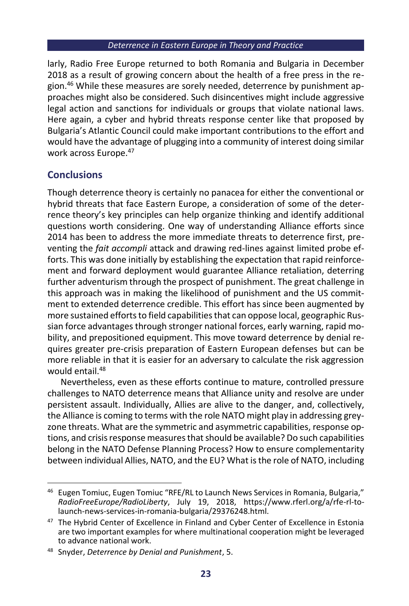larly, Radio Free Europe returned to both Romania and Bulgaria in December 2018 as a result of growing concern about the health of a free press in the region.<sup>46</sup> While these measures are sorely needed, deterrence by punishment approaches might also be considered. Such disincentives might include aggressive legal action and sanctions for individuals or groups that violate national laws. Here again, a cyber and hybrid threats response center like that proposed by Bulgaria's Atlantic Council could make important contributions to the effort and would have the advantage of plugging into a community of interest doing similar work across Europe.<sup>47</sup>

# **Conclusions**

Though deterrence theory is certainly no panacea for either the conventional or hybrid threats that face Eastern Europe, a consideration of some of the deterrence theory's key principles can help organize thinking and identify additional questions worth considering. One way of understanding Alliance efforts since 2014 has been to address the more immediate threats to deterrence first, preventing the *fait accompli* attack and drawing red-lines against limited probe efforts. This was done initially by establishing the expectation that rapid reinforcement and forward deployment would guarantee Alliance retaliation, deterring further adventurism through the prospect of punishment. The great challenge in this approach was in making the likelihood of punishment and the US commitment to extended deterrence credible. This effort has since been augmented by more sustained efforts to field capabilities that can oppose local, geographic Russian force advantages through stronger national forces, early warning, rapid mobility, and prepositioned equipment. This move toward deterrence by denial requires greater pre-crisis preparation of Eastern European defenses but can be more reliable in that it is easier for an adversary to calculate the risk aggression would entail.<sup>48</sup>

Nevertheless, even as these efforts continue to mature, controlled pressure challenges to NATO deterrence means that Alliance unity and resolve are under persistent assault. Individually, Allies are alive to the danger, and, collectively, the Alliance is coming to terms with the role NATO might play in addressing greyzone threats. What are the symmetric and asymmetric capabilities, response options, and crisis response measures that should be available? Do such capabilities belong in the NATO Defense Planning Process? How to ensure complementarity between individual Allies, NATO, and the EU? What is the role of NATO, including

<sup>46</sup> Eugen Tomiuc, Eugen Tomiuc "RFE/RL to Launch News Services in Romania, Bulgaria," *RadioFreeEurope/RadioLiberty*, July 19, 2018, https://www.rferl.org/a/rfe-rl-tolaunch-news-services-in-romania-bulgaria/29376248.html.

<sup>&</sup>lt;sup>47</sup> The Hybrid Center of Excellence in Finland and Cyber Center of Excellence in Estonia are two important examples for where multinational cooperation might be leveraged to advance national work.

<sup>48</sup> Snyder, *Deterrence by Denial and Punishment*, 5.